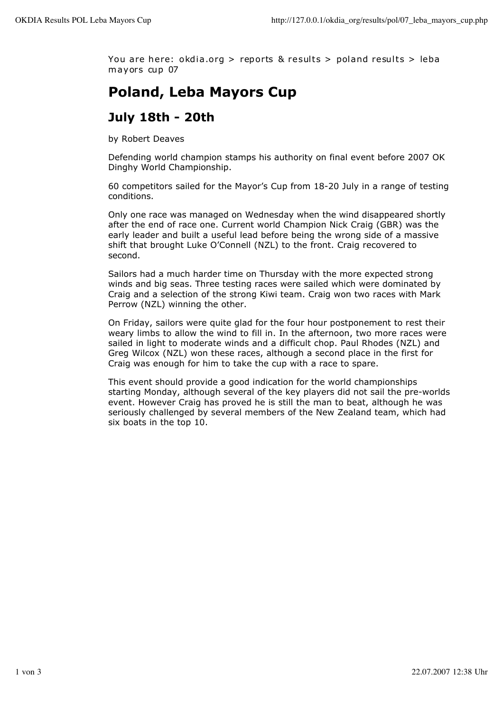You are here: okdia.org > reports & results > poland results > leba mayors cup 07

## **Poland, Leba Mayors Cup**

## **July 18th - 20th**

by Robert Deaves

Defending world champion stamps his authority on final event before 2007 OK Dinghy World Championship.

60 competitors sailed for the Mayor's Cup from 18-20 July in a range of testing conditions.

Only one race was managed on Wednesday when the wind disappeared shortly after the end of race one. Current world Champion Nick Craig (GBR) was the early leader and built a useful lead before being the wrong side of a massive shift that brought Luke O'Connell (NZL) to the front. Craig recovered to second.

Sailors had a much harder time on Thursday with the more expected strong winds and big seas. Three testing races were sailed which were dominated by Craig and a selection of the strong Kiwi team. Craig won two races with Mark Perrow (NZL) winning the other.

On Friday, sailors were quite glad for the four hour postponement to rest their weary limbs to allow the wind to fill in. In the afternoon, two more races were sailed in light to moderate winds and a difficult chop. Paul Rhodes (NZL) and Greg Wilcox (NZL) won these races, although a second place in the first for Craig was enough for him to take the cup with a race to spare.

This event should provide a good indication for the world championships starting Monday, although several of the key players did not sail the pre-worlds event. However Craig has proved he is still the man to beat, although he was seriously challenged by several members of the New Zealand team, which had six boats in the top 10.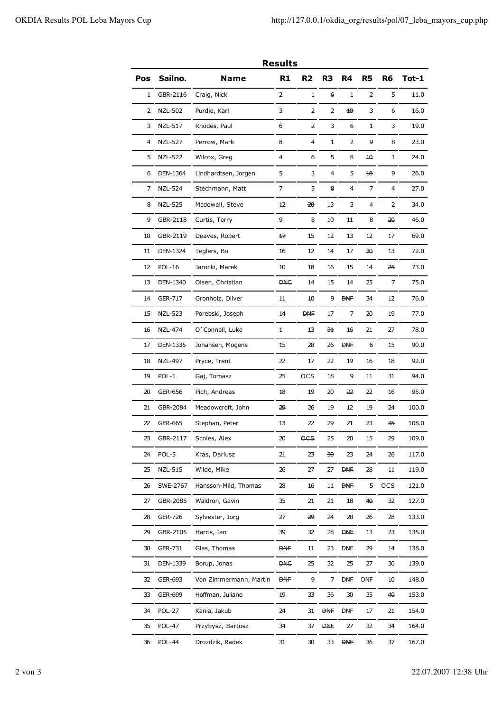| <b>Results</b> |                 |                        |                |                |                |             |                |                |       |
|----------------|-----------------|------------------------|----------------|----------------|----------------|-------------|----------------|----------------|-------|
| Pos            | Sailno.         | Name                   | R <sub>1</sub> | R <sub>2</sub> | R <sub>3</sub> | R4          | R <sub>5</sub> | R <sub>6</sub> | Tot-1 |
| 1              | GBR-2116        | Craig, Nick            | 2              | 1              | 6              | 1           | 2              | 5              | 11.0  |
| 2              | <b>NZL-502</b>  | Purdie, Karl           | 3              | 2              | 2              | $\pm\Theta$ | 3              | 6              | 16.0  |
| 3              | NZL-517         | Rhodes, Paul           | 6              | 구              | 3              | 6           | 1              | 3              | 19.0  |
| 4              | <b>NZL-527</b>  | Perrow, Mark           | 8              | 4              | 1              | 2           | و              | 8              | 23.0  |
| 5              | <b>NZL-522</b>  | Wilcox, Greg           | 4              | 6              | 5              | 8           | 10             | 1              | 24.0  |
| 6              | DEN-1364        | Lindhardtsen, Jorgen   | 5              | 3              | 4              | 5           | ₩              | 9              | 26.0  |
| 7              | <b>NZL-524</b>  | Stechmann, Matt        | 7              | 5              | 8              | 4           | 7              | 4              | 27.0  |
| 8              | <b>NZL-525</b>  | Mcdowell, Steve        | 12             | ₩              | 13             | 3           | $\overline{4}$ | 2              | 34.0  |
| 9              | GBR-2118        | Curtis, Terry          | 9              | 8              | 10             | 11          | 8              | 50             | 46.0  |
| 10             | GBR-2119        | Deaves, Robert         | ₩              | 15             | 12             | 13          | 12             | 17             | 69.0  |
| 11             | <b>DEN-1324</b> | Teglers, Bo            | 16             | 12             | 14             | 17          | 30.            | 13             | 72.0  |
| 12             | <b>POL-16</b>   | Jarocki, Marek         | 10             | 18             | 16             | 15          | 14             | 子              | 73.0  |
| 13             | DEN-1340        | Olsen, Christian       | <b>DHC</b>     | 14             | 15             | 14          | 25             | 7              | 75.0  |
| 14             | <b>GER-717</b>  | Gronholz, Oliver       | 11             | 10             | 9              | <b>DNF</b>  | 34             | 12             | 76.0  |
| 15             | <b>NZL-523</b>  | Porebski, Joseph       | 14             | <b>DHE</b>     | 17             | 7           | 20             | 19             | 77.0  |
| 16             | <b>NZL-474</b>  | O'Connell, Luke        | 1              | 13             | <del>31</del>  | 16          | 21             | 27             | 78.0  |
| 17             | <b>DEN-1335</b> | Johansen, Mogens       | 15             | 28             | 26             | <b>DVE</b>  | 6              | 15             | 90.0  |
| 18             | NZL-497         | Pryce, Trent           | æ              | 17             | 22             | 19          | 16             | 18             | 92.0  |
| 19             | POL-1           | Gaj, Tomasz            | 25             | OCS            | 18             | 9           | 11             | 31             | 94.0  |
| 20             | <b>GER-656</b>  | Pich, Andreas          | 18             | 19             | 20             | ₩           | 22             | 16             | 95.0  |
| 21             | GBR-2084        | Meadowcroft, John      | 29             | 26             | 19             | 12          | 19             | 24             | 100.0 |
| 22             | GER-665         | Stephan, Peter         | 13             | 22             | 29             | 21          | 23             | 子              | 108.0 |
| 23             | GBR-2117        | Scoles, Alex           | $20\,$         | OCS            | 25             | 20          | 15             | 29             | 109.0 |
| 24             | POL-5           | Kras, Dariusz          | 21             | 23             | ₩              | 23          | 24             | 26             | 117.0 |
| 25             | <b>NZL-515</b>  | Wilde, Mike            | 26             | 27             | 27             | <b>DNF</b>  | 28             | 11             | 119.0 |
| 26             | SWE-2767        | Hansson-Mild, Thomas   | 28             | 16             | 11             | <b>DNF</b>  | 5              | <b>OCS</b>     | 121.0 |
| 27             | GBR-2085        | Waldron, Gavin         | 35             | 21             | 21             | 18          | 40             | 32             | 127.0 |
| 28             | GER-726         | Sylvester, Jorg        | 27             | ₩              | 24             | 28          | 26             | 28             | 133.0 |
| 29             | GBR-2105        | Harris, Ian            | 39             | 32             | 28             | <b>DVE</b>  | 13             | 23             | 135.0 |
| 30             | GER-731         | Glas, Thomas           | <b>DNF</b>     | $11\,$         | 23             | <b>DNF</b>  | 29             | 14             | 138.0 |
| 31             | DEN-1339        | Borup, Jonas           | <b>DHC</b>     | 25             | 32             | 25          | 27             | 30             | 139.0 |
| 32             | GER-693         | Von Zimmermann, Martin | <b>DNF</b>     | 9              | 7              | <b>DNF</b>  | DNF            | 10             | 148.0 |
| 33             | GER-699         | Hoffman, Juliane       | 19             | 33             | 36             | 30          | 35             | 40             | 153.0 |
| 34             | <b>POL-27</b>   | Kania, Jakub           | 24             | 31             | <b>DNF</b>     | <b>DNF</b>  | 17             | 21             | 154.0 |
| 35             | <b>POL-47</b>   | Przybysz, Bartosz      | 34             | 37             | <b>DVE</b>     | 27          | 32             | 34             | 164.0 |
| 36             | <b>POL-44</b>   | Drozdzik, Radek        | 31             | 30             | 33             | <b>DNF</b>  | 36             | 37             | 167.0 |